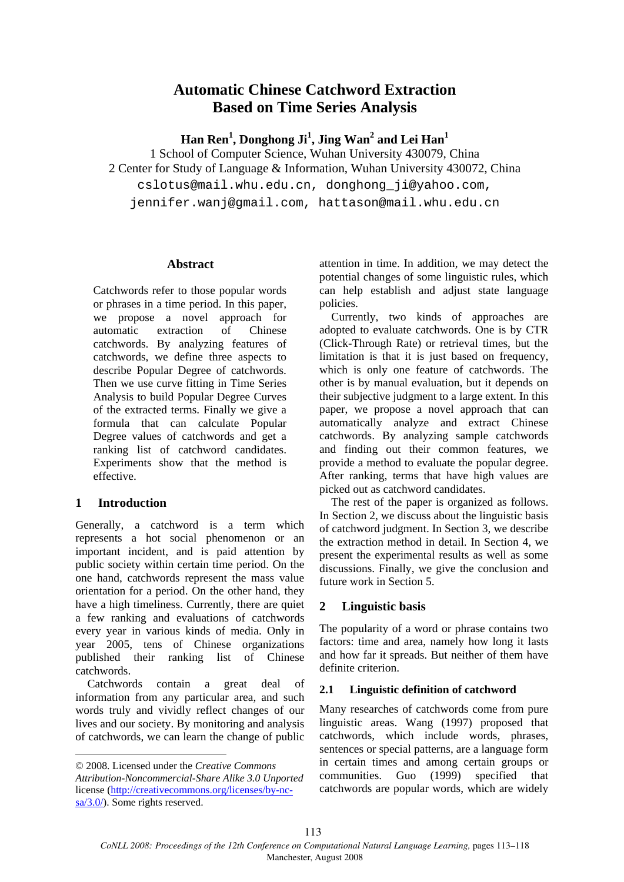# **Automatic Chinese Catchword Extraction Based on Time Series Analysis**

**Han Ren1 , Donghong Ji<sup>1</sup> , Jing Wan2 and Lei Han1**

1 School of Computer Science, Wuhan University 430079, China 2 Center for Study of Language & Information, Wuhan University 430072, China cslotus@mail.whu.edu.cn, donghong\_ji@yahoo.com, jennifer.wanj@gmail.com, hattason@mail.whu.edu.cn

#### **Abstract**

Catchwords refer to those popular words or phrases in a time period. In this paper, we propose a novel approach for automatic extraction of Chinese catchwords. By analyzing features of catchwords, we define three aspects to describe Popular Degree of catchwords. Then we use curve fitting in Time Series Analysis to build Popular Degree Curves of the extracted terms. Finally we give a formula that can calculate Popular Degree values of catchwords and get a ranking list of catchword candidates. Experiments show that the method is effective.

#### **1 Introduction**

Generally, a catchword is a term which represents a hot social phenomenon or an important incident, and is paid attention by public society within certain time period. On the one hand, catchwords represent the mass value orientation for a period. On the other hand, they have a high timeliness. Currently, there are quiet a few ranking and evaluations of catchwords every year in various kinds of media. Only in year 2005, tens of Chinese organizations published their ranking list of Chinese catchwords.

Catchwords contain a great deal of information from any particular area, and such words truly and vividly reflect changes of our lives and our society. By monitoring and analysis of catchwords, we can learn the change of public

attention in time. In addition, we may detect the potential changes of some linguistic rules, which can help establish and adjust state language policies.

Currently, two kinds of approaches are adopted to evaluate catchwords. One is by CTR (Click-Through Rate) or retrieval times, but the limitation is that it is just based on frequency, which is only one feature of catchwords. The other is by manual evaluation, but it depends on their subjective judgment to a large extent. In this paper, we propose a novel approach that can automatically analyze and extract Chinese catchwords. By analyzing sample catchwords and finding out their common features, we provide a method to evaluate the popular degree. After ranking, terms that have high values are picked out as catchword candidates.

The rest of the paper is organized as follows. In Section 2, we discuss about the linguistic basis of catchword judgment. In Section 3, we describe the extraction method in detail. In Section 4, we present the experimental results as well as some discussions. Finally, we give the conclusion and future work in Section 5.

#### **2 Linguistic basis**

The popularity of a word or phrase contains two factors: time and area, namely how long it lasts and how far it spreads. But neither of them have definite criterion.

#### **2.1 Linguistic definition of catchword**

Many researches of catchwords come from pure linguistic areas. Wang (1997) proposed that catchwords, which include words, phrases, sentences or special patterns, are a language form in certain times and among certain groups or communities. Guo (1999) specified that catchwords are popular words, which are widely

<sup>© 2008.</sup> Licensed under the *Creative Commons Attribution-Noncommercial-Share Alike 3.0 Unported* license (http://creativecommons.org/licenses/by-ncsa/3.0/). Some rights reserved.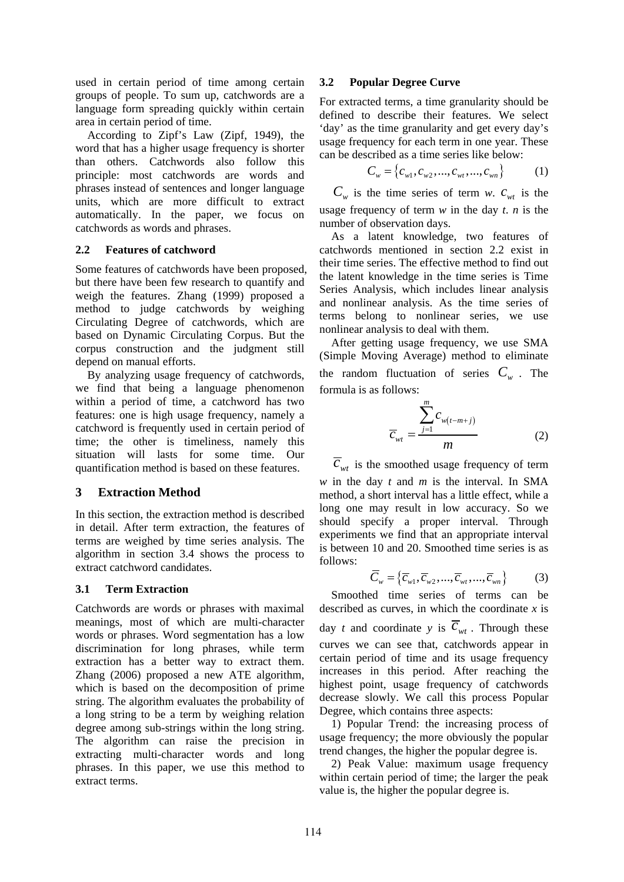used in certain period of time among certain groups of people. To sum up, catchwords are a language form spreading quickly within certain area in certain period of time.

According to Zipf's Law (Zipf, 1949), the word that has a higher usage frequency is shorter than others. Catchwords also follow this principle: most catchwords are words and phrases instead of sentences and longer language units, which are more difficult to extract automatically. In the paper, we focus on catchwords as words and phrases.

## **2.2 Features of catchword**

Some features of catchwords have been proposed, but there have been few research to quantify and weigh the features. Zhang (1999) proposed a method to judge catchwords by weighing Circulating Degree of catchwords, which are based on Dynamic Circulating Corpus. But the corpus construction and the judgment still depend on manual efforts.

By analyzing usage frequency of catchwords, we find that being a language phenomenon within a period of time, a catchword has two features: one is high usage frequency, namely a catchword is frequently used in certain period of time; the other is timeliness, namely this situation will lasts for some time. Our quantification method is based on these features.

# **3 Extraction Method**

In this section, the extraction method is described in detail. After term extraction, the features of terms are weighed by time series analysis. The algorithm in section 3.4 shows the process to extract catchword candidates.

# **3.1 Term Extraction**

Catchwords are words or phrases with maximal meanings, most of which are multi-character words or phrases. Word segmentation has a low discrimination for long phrases, while term extraction has a better way to extract them. Zhang (2006) proposed a new ATE algorithm, which is based on the decomposition of prime string. The algorithm evaluates the probability of a long string to be a term by weighing relation degree among sub-strings within the long string. The algorithm can raise the precision in extracting multi-character words and long phrases. In this paper, we use this method to extract terms.

# **3.2 Popular Degree Curve**

For extracted terms, a time granularity should be defined to describe their features. We select 'day' as the time granularity and get every day's usage frequency for each term in one year. These can be described as a time series like below:

$$
C_w = \{c_{w1}, c_{w2}, \dots, c_{wt}, \dots, c_{wn}\}
$$
 (1)

 $C_w$  is the time series of term *w*.  $c_{wt}$  is the usage frequency of term *w* in the day *t*. *n* is the number of observation days.

As a latent knowledge, two features of catchwords mentioned in section 2.2 exist in their time series. The effective method to find out the latent knowledge in the time series is Time Series Analysis, which includes linear analysis and nonlinear analysis. As the time series of terms belong to nonlinear series, we use nonlinear analysis to deal with them.

After getting usage frequency, we use SMA (Simple Moving Average) method to eliminate the random fluctuation of series  $C_w$ . The formula is as follows:

$$
\overline{C}_{wt} = \frac{\sum_{j=1}^{m} C_{w(t-m+j)}}{m}
$$
 (2)

 $\overline{c}_{wt}$  is the smoothed usage frequency of term *w* in the day *t* and *m* is the interval. In SMA method, a short interval has a little effect, while a long one may result in low accuracy. So we should specify a proper interval. Through experiments we find that an appropriate interval is between 10 and 20. Smoothed time series is as follows:

$$
\overline{C}_{w} = \{\overline{C}_{w1}, \overline{C}_{w2}, ..., \overline{C}_{wt}, ..., \overline{C}_{wn}\}
$$
 (3)

Smoothed time series of terms can be described as curves, in which the coordinate *x* is day *t* and coordinate *y* is  $\overline{c}_{wt}$ . Through these curves we can see that, catchwords appear in certain period of time and its usage frequency increases in this period. After reaching the highest point, usage frequency of catchwords decrease slowly. We call this process Popular Degree, which contains three aspects:

1) Popular Trend: the increasing process of usage frequency; the more obviously the popular trend changes, the higher the popular degree is.

2) Peak Value: maximum usage frequency within certain period of time; the larger the peak value is, the higher the popular degree is.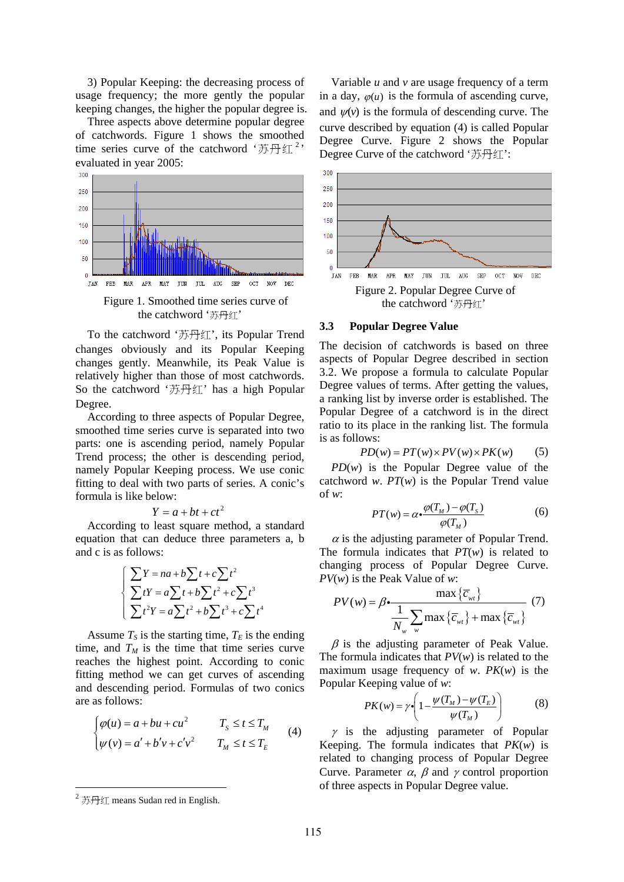3) Popular Keeping: the decreasing process of usage frequency; the more gently the popular keeping changes, the higher the popular degree is.

Three aspects above determine popular degree of catchwords. Figure 1 shows the smoothed time series curve of the catchword '苏丹红<sup>2</sup>' evaluated in year 2005:



To the catchword '苏丹红', its Popular Trend changes obviously and its Popular Keeping changes gently. Meanwhile, its Peak Value is relatively higher than those of most catchwords. So the catchword '苏丹红' has a high Popular Degree.

According to three aspects of Popular Degree, smoothed time series curve is separated into two parts: one is ascending period, namely Popular Trend process; the other is descending period, namely Popular Keeping process. We use conic fitting to deal with two parts of series. A conic's formula is like below:

$$
Y = a + bt + ct^2
$$

According to least square method, a standard equation that can deduce three parameters a, b and c is as follows:

$$
\begin{cases}\n\sum Y = na + b \sum t + c \sum t^2 \\
\sum tY = a \sum t + b \sum t^2 + c \sum t^3 \\
\sum t^2Y = a \sum t^2 + b \sum t^3 + c \sum t^4\n\end{cases}
$$

Assume  $T<sub>S</sub>$  is the starting time,  $T<sub>E</sub>$  is the ending time, and  $T_M$  is the time that time series curve reaches the highest point. According to conic fitting method we can get curves of ascending and descending period. Formulas of two conics are as follows:

$$
\begin{cases}\n\varphi(u) = a + bu + cu^2 & T_s \le t \le T_M \\
\psi(v) = a' + b'v + c'v^2 & T_M \le t \le T_E\n\end{cases}
$$
\n(4)

Variable *u* and *v* are usage frequency of a term in a day,  $\varphi(u)$  is the formula of ascending curve, and  $\psi(\nu)$  is the formula of descending curve. The curve described by equation (4) is called Popular Degree Curve. Figure 2 shows the Popular Degree Curve of the catchword '苏丹红':



#### **3.3 Popular Degree Value**

The decision of catchwords is based on three aspects of Popular Degree described in section 3.2. We propose a formula to calculate Popular Degree values of terms. After getting the values, a ranking list by inverse order is established. The Popular Degree of a catchword is in the direct ratio to its place in the ranking list. The formula is as follows:

$$
PD(w) = PT(w) \times PV(w) \times PK(w) \qquad (5)
$$

*PD*(*w*) is the Popular Degree value of the catchword *w*. *PT*(*w*) is the Popular Trend value of *w*:

$$
PT(w) = \alpha \cdot \frac{\varphi(T_M) - \varphi(T_S)}{\varphi(T_M)}
$$
(6)

 $\alpha$  is the adjusting parameter of Popular Trend. The formula indicates that  $PT(w)$  is related to changing process of Popular Degree Curve. *PV*(*w*) is the Peak Value of *w*:

$$
PV(w) = \beta \cdot \frac{\max\left\{\overline{c}_{wt}\right\}}{\frac{1}{N_w} \sum_{w} \max\left\{\overline{c}_{wt}\right\} + \max\left\{\overline{c}_{wt}\right\}} \tag{7}
$$

 $\beta$  is the adjusting parameter of Peak Value. The formula indicates that *PV*(*w*) is related to the maximum usage frequency of *w*. *PK*(*w*) is the Popular Keeping value of *w*:

$$
PK(w) = \gamma \cdot \left(1 - \frac{\psi(T_M) - \psi(T_E)}{\psi(T_M)}\right) \tag{8}
$$

 $\gamma$  is the adjusting parameter of Popular Keeping. The formula indicates that *PK*(*w*) is related to changing process of Popular Degree Curve. Parameter  $\alpha$ ,  $\beta$  and  $\gamma$  control proportion of three aspects in Popular Degree value.

 $^{2}$  苏丹红 means Sudan red in English.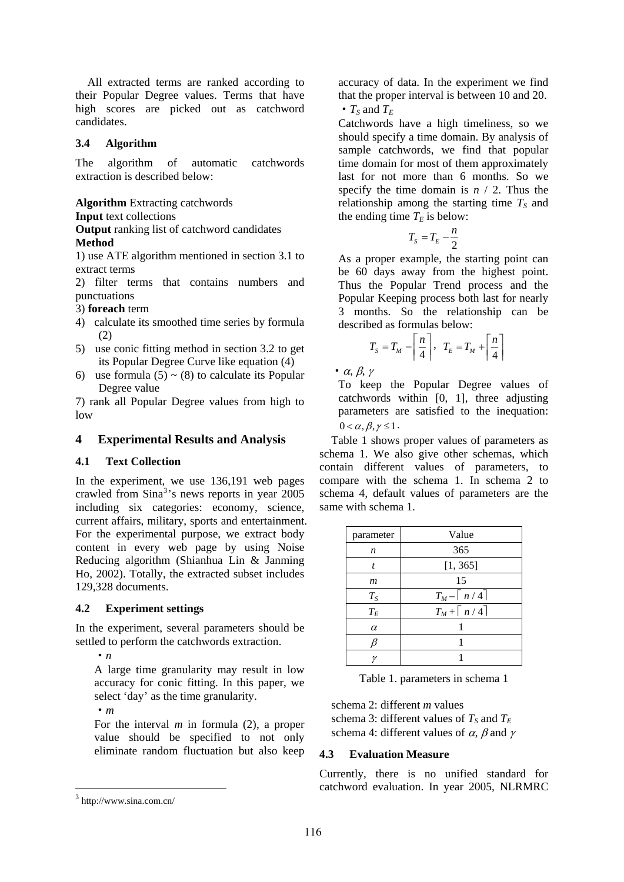All extracted terms are ranked according to their Popular Degree values. Terms that have high scores are picked out as catchword candidates.

# **3.4 Algorithm**

The algorithm of automatic catchwords extraction is described below:

**Algorithm** Extracting catchwords

#### **Input** text collections

**Output** ranking list of catchword candidates **Method** 

1) use ATE algorithm mentioned in section 3.1 to extract terms

2) filter terms that contains numbers and punctuations

3) **foreach** term

- 4) calculate its smoothed time series by formula (2)
- 5) use conic fitting method in section 3.2 to get its Popular Degree Curve like equation (4)
- 6) use formula  $(5) \sim (8)$  to calculate its Popular Degree value

7) rank all Popular Degree values from high to low

## **4 Experimental Results and Analysis**

#### **4.1 Text Collection**

In the experiment, we use 136,191 web pages crawled from Sina<sup>3</sup>'s news reports in year 2005 including six categories: economy, science, current affairs, military, sports and entertainment. For the experimental purpose, we extract body content in every web page by using Noise Reducing algorithm (Shianhua Lin & Janming Ho, 2002). Totally, the extracted subset includes 129,328 documents.

#### **4.2 Experiment settings**

In the experiment, several parameters should be settled to perform the catchwords extraction.

·*n*

A large time granularity may result in low accuracy for conic fitting. In this paper, we select 'day' as the time granularity.

·*m*

For the interval *m* in formula (2), a proper value should be specified to not only eliminate random fluctuation but also keep accuracy of data. In the experiment we find that the proper interval is between 10 and 20. •  $T_S$  and  $T_F$ 

Catchwords have a high timeliness, so we should specify a time domain. By analysis of sample catchwords, we find that popular time domain for most of them approximately last for not more than 6 months. So we specify the time domain is  $n / 2$ . Thus the relationship among the starting time  $T<sub>S</sub>$  and the ending time  $T_E$  is below:

$$
T_s = T_E - \frac{n}{2}
$$

As a proper example, the starting point can be 60 days away from the highest point. Thus the Popular Trend process and the Popular Keeping process both last for nearly 3 months. So the relationship can be described as formulas below:

$$
T_{S} = T_{M} - \left\lceil \frac{n}{4} \right\rceil, \quad T_{E} = T_{M} + \left\lceil \frac{n}{4} \right\rceil
$$

 $\cdot \alpha$ , β, γ

To keep the Popular Degree values of catchwords within [0, 1], three adjusting parameters are satisfied to the inequation:  $0 < \alpha, \beta, \gamma \leq 1$ .

Table 1 shows proper values of parameters as schema 1. We also give other schemas, which contain different values of parameters, to compare with the schema 1. In schema 2 to schema 4, default values of parameters are the same with schema 1.

| parameter | Value                     |
|-----------|---------------------------|
| n         | 365                       |
| t         | [1, 365]                  |
| m         | 15                        |
| $T_S$     | $T_M - \lceil n/4 \rceil$ |
| $T_E$     | $T_M + \lceil n/4 \rceil$ |
| $\alpha$  |                           |
|           |                           |
|           |                           |

Table 1. parameters in schema 1

schema 2: different *m* values schema 3: different values of  $T_S$  and  $T_E$ schema 4: different values of  $\alpha$ ,  $\beta$  and  $\gamma$ 

#### **4.3 Evaluation Measure**

Currently, there is no unified standard for catchword evaluation. In year 2005, NLRMRC

<sup>3</sup> http://www.sina.com.cn/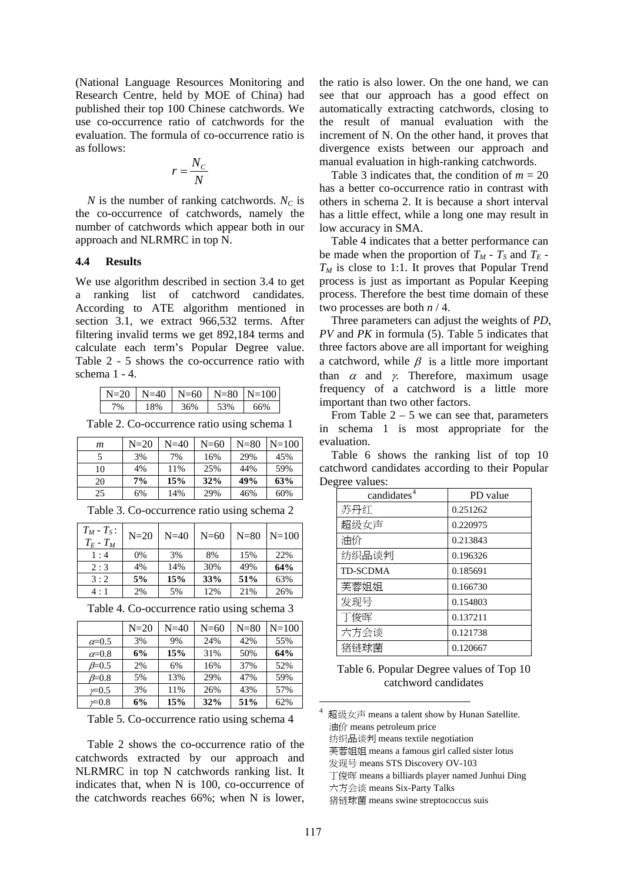(National Language Resources Monitoring and Research Centre, held by MOE of China) had published their top 100 Chinese catchwords. We use co-occurrence ratio of catchwords for the evaluation. The formula of co-occurrence ratio is as follows:

$$
r = \frac{N_c}{N}
$$

*N* is the number of ranking catchwords.  $N_c$  is the co-occurrence of catchwords, namely the number of catchwords which appear both in our approach and NLRMRC in top N.

#### **4.4 Results**

We use algorithm described in section 3.4 to get a ranking list of catchword candidates. According to ATE algorithm mentioned in section 3.1, we extract 966,532 terms. After filtering invalid terms we get 892,184 terms and calculate each term's Popular Degree value. Table 2 - 5 shows the co-occurrence ratio with schema 1 - 4.

| $N-20$  | $N=40$ | $N = 60$ | $N = 80$ | $N=100$ |
|---------|--------|----------|----------|---------|
| $v_{0}$ | 8%     | '6%      |          | 66%     |

Table 2. Co-occurrence ratio using schema 1

| m  | $N=20$ | $N=40$ | $N=\epsilon$ 60 | $N = 80$ | $N=100$ |
|----|--------|--------|-----------------|----------|---------|
|    | 3%     | 7%     | 16%             | 29%      | 45%     |
| 10 | 4%     | 11%    | 25%             | 44%      | 59%     |
| 20 | 7%     | 15%    | 32%             | 49%      | 63%     |
| 25 | 6%     | 14%    | 29%             | 46%      | 60%     |

| $T_M$ - $T_S$ :<br>$T_E$ - $T_M$ | $N=20$ | $N=40$ | $N=60$ | $N = 80$ | $N = 100$ |
|----------------------------------|--------|--------|--------|----------|-----------|
| 1:4                              | $0\%$  | 3%     | 8%     | 15%      | 22%       |
| 2:3                              | 4%     | 14%    | 30%    | 49%      | 64%       |
| 3:2                              | 5%     | 15%    | 33%    | 51%      | 63%       |
| 4 : 1                            | 2%     | 5%     | 12%    | 21%      | 26%       |

Table 3. Co-occurrence ratio using schema 2

Table 4. Co-occurrence ratio using schema 3

|                  | $N=20$ | $N=40$ | $N=60$ | $N=80$ | $N = 100$ |
|------------------|--------|--------|--------|--------|-----------|
| $\alpha = 0.5$   | 3%     | 9%     | 24%    | 42%    | 55%       |
| $\alpha = 0.8$   | 6%     | 15%    | 31%    | 50%    | 64%       |
| $\beta = 0.5$    | 2%     | 6%     | 16%    | 37%    | 52%       |
| $\beta = 0.8$    | 5%     | 13%    | 29%    | 47%    | 59%       |
| $\not\simeq 0.5$ | 3%     | 11%    | 26%    | 43%    | 57%       |
| $\not=0.8$       | 6%     | 15%    | 32%    | 51%    | 62%       |

Table 5. Co-occurrence ratio using schema 4

Table 2 shows the co-occurrence ratio of the catchwords extracted by our approach and NLRMRC in top N catchwords ranking list. It indicates that, when N is 100, co-occurrence of the catchwords reaches 66%; when N is lower, the ratio is also lower. On the one hand, we can see that our approach has a good effect on automatically extracting catchwords, closing to the result of manual evaluation with the increment of N. On the other hand, it proves that divergence exists between our approach and manual evaluation in high-ranking catchwords.

Table 3 indicates that, the condition of  $m = 20$ has a better co-occurrence ratio in contrast with others in schema 2. It is because a short interval has a little effect, while a long one may result in low accuracy in SMA.

Table 4 indicates that a better performance can be made when the proportion of  $T_M$  -  $T_S$  and  $T_E$  - $T_M$  is close to 1:1. It proves that Popular Trend process is just as important as Popular Keeping process. Therefore the best time domain of these two processes are both *n* / 4.

Three parameters can adjust the weights of *PD*, *PV* and *PK* in formula (5). Table 5 indicates that three factors above are all important for weighing a catchword, while  $\beta$  is a little more important than  $\alpha$  and  $\gamma$ . Therefore, maximum usage frequency of a catchword is a little more important than two other factors.

From Table  $2 - 5$  we can see that, parameters in schema 1 is most appropriate for the evaluation.

Table 6 shows the ranking list of top 10 catchword candidates according to their Popular Degree values:

| candidates <sup>4</sup> | PD value |
|-------------------------|----------|
| 苏丹红                     | 0.251262 |
| 超级女声                    | 0.220975 |
| 油价                      | 0.213843 |
| 纺织品谈判                   | 0.196326 |
| <b>TD-SCDMA</b>         | 0.185691 |
| 芙蓉姐姐                    | 0.166730 |
| 发现号                     | 0.154803 |
| 丁俊晖                     | 0.137211 |
| 六方会谈                    | 0.121738 |
| 猪链球菌                    | 0.120667 |

Table 6. Popular Degree values of Top 10 catchword candidates

纺织品谈判 means textile negotiation

芙蓉姐姐 means a famous girl called sister lotus

发现号 means STS Discovery OV-103

丁俊晖 means a billiards player named Junhui Ding

六方会谈 means Six-Party Talks

猪链球菌 means swine streptococcus suis

<sup>4</sup> 超级女声 means a talent show by Hunan Satellite. 油价 means petroleum price